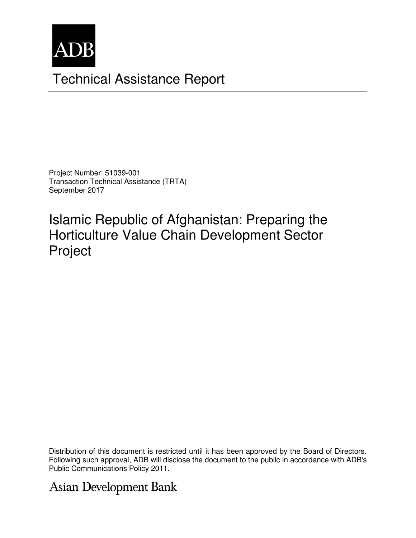

# Technical Assistance Report

Project Number: 51039-001 Transaction Technical Assistance (TRTA) September 2017

Islamic Republic of Afghanistan: Preparing the Horticulture Value Chain Development Sector Project

Distribution of this document is restricted until it has been approved by the Board of Directors. Following such approval, ADB will disclose the document to the public in accordance with ADB's Public Communications Policy 2011.

**Asian Development Bank**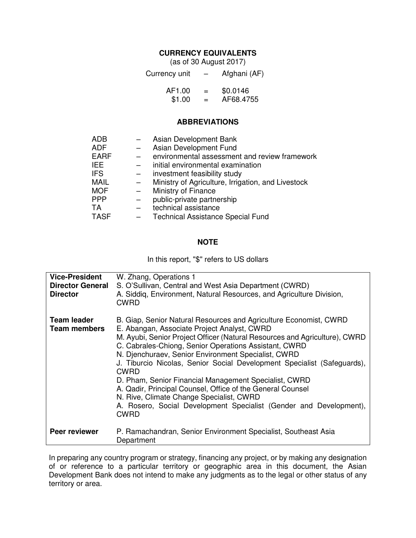### **CURRENCY EQUIVALENTS**

(as of 30 August 2017)

| Currency unit | $\overline{\phantom{0}}$ | Afghani (AF) |
|---------------|--------------------------|--------------|
| AF1.00        | $=$                      | \$0.0146     |
| \$1.00        | $=$                      | AF68.4755    |

#### **ABBREVIATIONS**

| <b>ADB</b>  |                          | Asian Development Bank                             |
|-------------|--------------------------|----------------------------------------------------|
| <b>ADF</b>  | $\overline{\phantom{0}}$ | Asian Development Fund                             |
| <b>EARF</b> |                          | environmental assessment and review framework      |
| <b>IEE</b>  |                          | initial environmental examination                  |
| <b>IFS</b>  |                          | investment feasibility study                       |
| <b>MAIL</b> | $-$                      | Ministry of Agriculture, Irrigation, and Livestock |
| <b>MOF</b>  |                          | Ministry of Finance                                |
| <b>PPP</b>  |                          | public-private partnership                         |
| <b>TA</b>   |                          | technical assistance                               |
| <b>TASF</b> |                          | <b>Technical Assistance Special Fund</b>           |

#### **NOTE**

In this report, "\$" refers to US dollars

| <b>Vice-President</b><br><b>Director General</b><br><b>Director</b> | W. Zhang, Operations 1<br>S. O'Sullivan, Central and West Asia Department (CWRD)<br>A. Siddig, Environment, Natural Resources, and Agriculture Division,<br><b>CWRD</b>                                                                                                                                                                                                                                                                                                                                                                                                                                                                                          |
|---------------------------------------------------------------------|------------------------------------------------------------------------------------------------------------------------------------------------------------------------------------------------------------------------------------------------------------------------------------------------------------------------------------------------------------------------------------------------------------------------------------------------------------------------------------------------------------------------------------------------------------------------------------------------------------------------------------------------------------------|
| <b>Team leader</b><br><b>Team members</b>                           | B. Giap, Senior Natural Resources and Agriculture Economist, CWRD<br>E. Abangan, Associate Project Analyst, CWRD<br>M. Ayubi, Senior Project Officer (Natural Resources and Agriculture), CWRD<br>C. Cabrales-Chiong, Senior Operations Assistant, CWRD<br>N. Djenchuraev, Senior Environment Specialist, CWRD<br>J. Tiburcio Nicolas, Senior Social Development Specialist (Safeguards),<br><b>CWRD</b><br>D. Pham, Senior Financial Management Specialist, CWRD<br>A. Qadir, Principal Counsel, Office of the General Counsel<br>N. Rive, Climate Change Specialist, CWRD<br>A. Rosero, Social Development Specialist (Gender and Development),<br><b>CWRD</b> |
| Peer reviewer                                                       | P. Ramachandran, Senior Environment Specialist, Southeast Asia<br>Department                                                                                                                                                                                                                                                                                                                                                                                                                                                                                                                                                                                     |

In preparing any country program or strategy, financing any project, or by making any designation of or reference to a particular territory or geographic area in this document, the Asian Development Bank does not intend to make any judgments as to the legal or other status of any territory or area.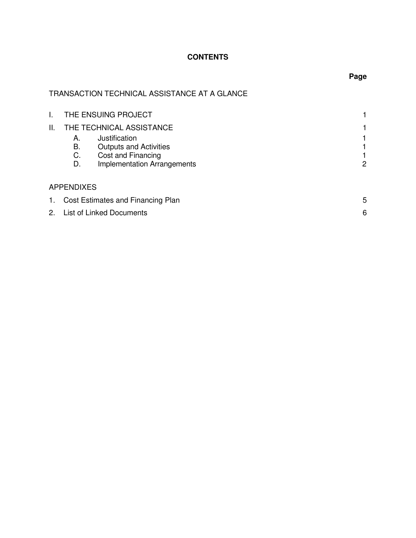# **CONTENTS**

# TRANSACTION TECHNICAL ASSISTANCE AT A GLANCE

|             |                      | THE ENSUING PROJECT                                                                                        |   |
|-------------|----------------------|------------------------------------------------------------------------------------------------------------|---|
| II.         |                      | THE TECHNICAL ASSISTANCE                                                                                   |   |
|             | А.<br>В.<br>C.<br>D. | Justification<br><b>Outputs and Activities</b><br>Cost and Financing<br><b>Implementation Arrangements</b> | 2 |
|             | <b>APPENDIXES</b>    |                                                                                                            |   |
| $1_{\cdot}$ |                      | Cost Estimates and Financing Plan                                                                          | 5 |
|             |                      | 2. List of Linked Documents                                                                                | 6 |

# **Page**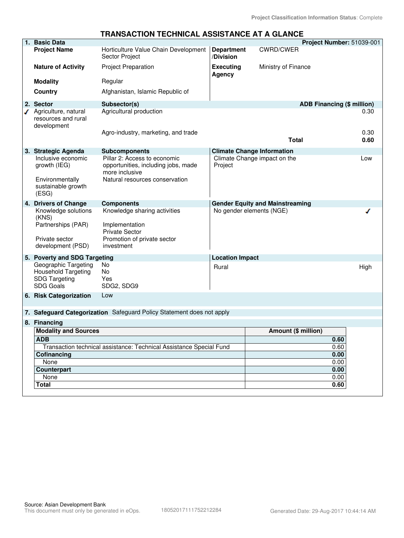#### **1. Basic Data Project Number:** 51039-001 CWRD/CWER **Project Name** Horticulture Value Chain Development **Department** Sector Project **/Division Nature of Activity** Project Preparation **Executing** Ministry of Finance **Agency Modality** Regular **Country Afghanistan, Islamic Republic of 2. Sector Subsector(s) ADB Financing (\$ million)** ◆ Agriculture, natural Agricultural production 0.30 resources and rural development Agro-industry, marketing, and trade 0.30 and trade 0.30 and trade 0.30 and trade 0.30 and trade 0.30 and trade **Total 0.60 3. Strategic Agenda Subcomponents Climate Change Information**  Inclusive economic Pillar 2: Access to economic Climate Change impact on the Low growth (IEG) opportunities, including jobs, made Project more inclusive Environmentally Natural resources conservation sustainable growth (ESG) **4. Drivers of Change Components Gender Equity and Mainstreaming** Knowledge solutions Knowledge sharing activities No gender elements (NGE) ℐ (KNS) Partnerships (PAR) Implementation Private Sector Private sector Promotion of private sector development (PSD) investment **5. Poverty and SDG Targeting Location Impact** Geographic Targeting No Rural **Rural** High Household Targeting No SDG Targeting Yes SDG Goals SDG2, SDG9 **6. Risk Categorization** Low **7. Safeguard Categorization** Safeguard Policy Statement does not apply **8. Financing Modality and Sources Amount (\$ million) ADB 0.60** Transaction technical assistance: Technical Assistance Special Fund 0.60 **Cofinancing 0.00** None 0.00 **Counterpart 0.00**  None 0.00 **Total 0.60**

# **TRANSACTION TECHNICAL ASSISTANCE AT A GLANCE**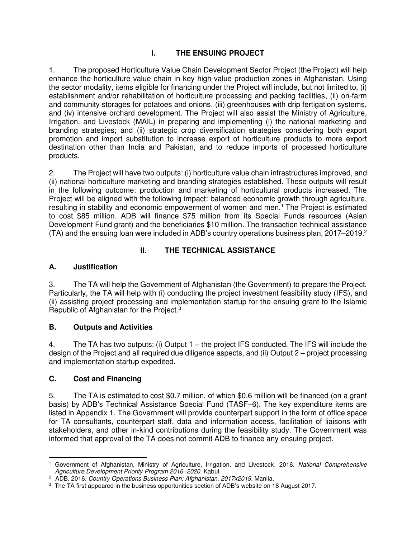# **I. THE ENSUING PROJECT**

1. The proposed Horticulture Value Chain Development Sector Project (the Project) will help enhance the horticulture value chain in key high-value production zones in Afghanistan. Using the sector modality, items eligible for financing under the Project will include, but not limited to, (i) establishment and/or rehabilitation of horticulture processing and packing facilities, (ii) on-farm and community storages for potatoes and onions, (iii) greenhouses with drip fertigation systems, and (iv) intensive orchard development. The Project will also assist the Ministry of Agriculture, Irrigation, and Livestock (MAIL) in preparing and implementing (i) the national marketing and branding strategies; and (ii) strategic crop diversification strategies considering both export promotion and import substitution to increase export of horticulture products to more export destination other than India and Pakistan, and to reduce imports of processed horticulture products.

2. The Project will have two outputs: (i) horticulture value chain infrastructures improved, and (ii) national horticulture marketing and branding strategies established. These outputs will result in the following outcome: production and marketing of horticultural products increased. The Project will be aligned with the following impact: balanced economic growth through agriculture, resulting in stability and economic empowerment of women and men.<sup>1</sup> The Project is estimated to cost \$85 million. ADB will finance \$75 million from its Special Funds resources (Asian Development Fund grant) and the beneficiaries \$10 million. The transaction technical assistance  $(TA)$  and the ensuing loan were included in ADB's country operations business plan, 2017–2019.<sup>2</sup>

# **II. THE TECHNICAL ASSISTANCE**

# **A. Justification**

3. The TA will help the Government of Afghanistan (the Government) to prepare the Project. Particularly, the TA will help with (i) conducting the project investment feasibility study (IFS), and (ii) assisting project processing and implementation startup for the ensuing grant to the Islamic Republic of Afghanistan for the Project.<sup>3</sup>

# **B. Outputs and Activities**

4. The TA has two outputs: (i) Output 1 – the project IFS conducted. The IFS will include the design of the Project and all required due diligence aspects, and (ii) Output 2 – project processing and implementation startup expedited.

# **C. Cost and Financing**

5. The TA is estimated to cost \$0.7 million, of which \$0.6 million will be financed (on a grant basis) by ADB's Technical Assistance Special Fund (TASF–6). The key expenditure items are listed in Appendix 1. The Government will provide counterpart support in the form of office space for TA consultants, counterpart staff, data and information access, facilitation of liaisons with stakeholders, and other in-kind contributions during the feasibility study. The Government was informed that approval of the TA does not commit ADB to finance any ensuing project.

 <sup>1</sup> Government of Afghanistan, Ministry of Agriculture, Irrigation, and Livestock. 2016. National Comprehensive Agriculture Development Priority Program 2016*–*2020. Kabul.

<sup>&</sup>lt;sup>2</sup> ADB. 2016. Country Operations Business Plan: Afghanistan, 2017x2019. Manila.

<sup>&</sup>lt;sup>3</sup> The TA first appeared in the business opportunities section of ADB's website on 18 August 2017.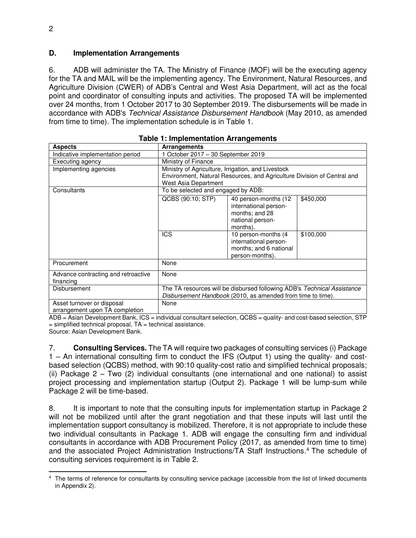#### **D. Implementation Arrangements**

6. ADB will administer the TA. The Ministry of Finance (MOF) will be the executing agency for the TA and MAIL will be the implementing agency. The Environment, Natural Resources, and Agriculture Division (CWER) of ADB's Central and West Asia Department, will act as the focal point and coordinator of consulting inputs and activities. The proposed TA will be implemented over 24 months, from 1 October 2017 to 30 September 2019. The disbursements will be made in accordance with ADB's Technical Assistance Disbursement Handbook (May 2010, as amended from time to time). The implementation schedule is in Table 1.

| <b>Aspects</b>                                               | <b>Arrangements</b>                                                                                                                    |                                                                                                 |           |
|--------------------------------------------------------------|----------------------------------------------------------------------------------------------------------------------------------------|-------------------------------------------------------------------------------------------------|-----------|
| Indicative implementation period                             | 1 October 2017 - 30 September 2019                                                                                                     |                                                                                                 |           |
| Executing agency                                             | Ministry of Finance                                                                                                                    |                                                                                                 |           |
| Implementing agencies                                        | Ministry of Agriculture, Irrigation, and Livestock                                                                                     |                                                                                                 |           |
|                                                              | Environment, Natural Resources, and Agriculture Division of Central and                                                                |                                                                                                 |           |
|                                                              | West Asia Department                                                                                                                   |                                                                                                 |           |
| Consultants                                                  | To be selected and engaged by ADB:                                                                                                     |                                                                                                 |           |
|                                                              | QCBS (90:10; STP)                                                                                                                      | 40 person-months (12<br>international person-<br>months; and 28<br>national person-<br>months). | \$450,000 |
|                                                              | <b>ICS</b>                                                                                                                             | 10 person-months (4)<br>international person-<br>months; and 6 national<br>person-months).      | \$100,000 |
| Procurement                                                  | None                                                                                                                                   |                                                                                                 |           |
| Advance contracting and retroactive<br>financing             | None                                                                                                                                   |                                                                                                 |           |
| <b>Disbursement</b>                                          | The TA resources will be disbursed following ADB's Technical Assistance<br>Disbursement Handbook (2010, as amended from time to time). |                                                                                                 |           |
| Asset turnover or disposal<br>arrangement upon TA completion | None                                                                                                                                   |                                                                                                 |           |

|  |  | <b>Table 1: Implementation Arrangements</b> |
|--|--|---------------------------------------------|
|--|--|---------------------------------------------|

ADB = Asian Development Bank, ICS = individual consultant selection, QCBS = quality- and cost-based selection, STP  $=$  simplified technical proposal, TA  $=$  technical assistance.

Source: Asian Development Bank.

7. **Consulting Services.** The TA will require two packages of consulting services (i) Package 1 – An international consulting firm to conduct the IFS (Output 1) using the quality- and costbased selection (QCBS) method, with 90:10 quality-cost ratio and simplified technical proposals; (ii) Package 2 – Two (2) individual consultants (one international and one national) to assist project processing and implementation startup (Output 2). Package 1 will be lump-sum while Package 2 will be time-based.

8. It is important to note that the consulting inputs for implementation startup in Package 2 will not be mobilized until after the grant negotiation and that these inputs will last until the implementation support consultancy is mobilized. Therefore, it is not appropriate to include these two individual consultants in Package 1. ADB will engage the consulting firm and individual consultants in accordance with ADB Procurement Policy (2017, as amended from time to time) and the associated Project Administration Instructions/TA Staff Instructions.<sup>4</sup> The schedule of consulting services requirement is in Table 2.

 <sup>4</sup> The terms of reference for consultants by consulting service package (accessible from the list of linked documents in Appendix 2).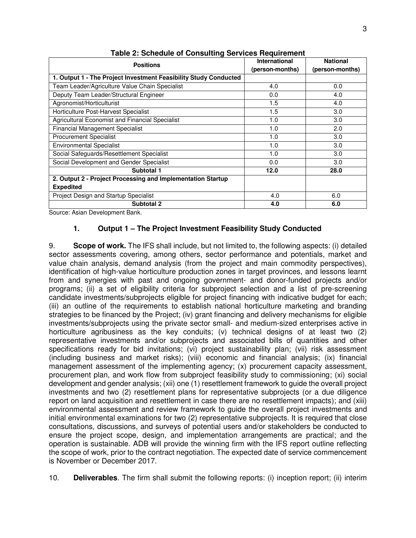| <b>Positions</b>                                                 | International   | <b>National</b> |
|------------------------------------------------------------------|-----------------|-----------------|
|                                                                  | (person-months) | (person-months) |
| 1. Output 1 - The Project Investment Feasibility Study Conducted |                 |                 |
| Team Leader/Agriculture Value Chain Specialist                   | 4.0             | 0.0             |
| Deputy Team Leader/Structural Engineer                           | 0.0             | 4.0             |
| Agronomist/Horticulturist                                        | 1.5             | 4.0             |
| Horticulture Post-Harvest Specialist                             | 1.5             | 3.0             |
| Agricultural Economist and Financial Specialist                  | 1.0             | 3.0             |
| <b>Financial Management Specialist</b>                           | 1.0             | 2.0             |
| <b>Procurement Specialist</b>                                    | 1.0             | 3.0             |
| <b>Environmental Specialist</b>                                  | 1.0             | 3.0             |
| Social Safeguards/Resettlement Specialist                        | 1.0             | 3.0             |
| Social Development and Gender Specialist                         | 0.0             | 3.0             |
| Subtotal 1                                                       | 12.0            | 28.0            |
| 2. Output 2 - Project Processing and Implementation Startup      |                 |                 |
| <b>Expedited</b>                                                 |                 |                 |
| Project Design and Startup Specialist                            | 4.0             | 6.0             |
| <b>Subtotal 2</b>                                                | 4.0             | 6.0             |

**Table 2: Schedule of Consulting Services Requirement** 

Source: Asian Development Bank.

#### **1. Output 1 – The Project Investment Feasibility Study Conducted**

9. **Scope of work.** The IFS shall include, but not limited to, the following aspects: (i) detailed sector assessments covering, among others, sector performance and potentials, market and value chain analysis, demand analysis (from the project and main commodity perspectives), identification of high-value horticulture production zones in target provinces, and lessons learnt from and synergies with past and ongoing government- and donor-funded projects and/or programs; (ii) a set of eligibility criteria for subproject selection and a list of pre-screening candidate investments/subprojects eligible for project financing with indicative budget for each; (iii) an outline of the requirements to establish national horticulture marketing and branding strategies to be financed by the Project; (iv) grant financing and delivery mechanisms for eligible investments/subprojects using the private sector small- and medium-sized enterprises active in horticulture agribusiness as the key conduits; (v) technical designs of at least two (2) representative investments and/or subprojects and associated bills of quantities and other specifications ready for bid invitations; (vi) project sustainability plan; (vii) risk assessment (including business and market risks); (viii) economic and financial analysis; (ix) financial management assessment of the implementing agency; (x) procurement capacity assessment, procurement plan, and work flow from subproject feasibility study to commissioning; (xi) social development and gender analysis; (xii) one (1) resettlement framework to guide the overall project investments and two (2) resettlement plans for representative subprojects (or a due diligence report on land acquisition and resettlement in case there are no resettlement impacts); and (xiii) environmental assessment and review framework to guide the overall project investments and initial environmental examinations for two (2) representative subprojects. It is required that close consultations, discussions, and surveys of potential users and/or stakeholders be conducted to ensure the project scope, design, and implementation arrangements are practical; and the operation is sustainable. ADB will provide the winning firm with the IFS report outline reflecting the scope of work, prior to the contract negotiation. The expected date of service commencement is November or December 2017.

10. **Deliverables**. The firm shall submit the following reports: (i) inception report; (ii) interim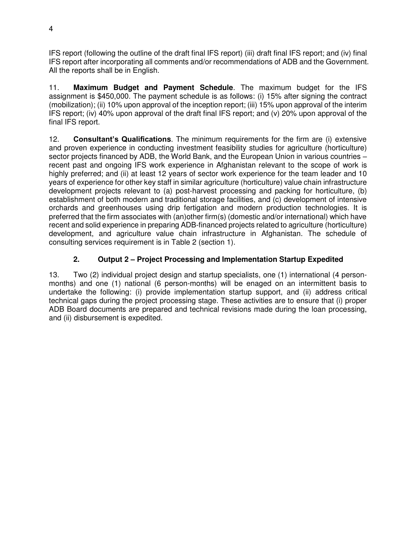IFS report (following the outline of the draft final IFS report) (iii) draft final IFS report; and (iv) final IFS report after incorporating all comments and/or recommendations of ADB and the Government. All the reports shall be in English.

11. **Maximum Budget and Payment Schedule**. The maximum budget for the IFS assignment is \$450,000. The payment schedule is as follows: (i) 15% after signing the contract (mobilization); (ii) 10% upon approval of the inception report; (iii) 15% upon approval of the interim IFS report; (iv) 40% upon approval of the draft final IFS report; and (v) 20% upon approval of the final IFS report.

12. **Consultant's Qualifications**. The minimum requirements for the firm are (i) extensive and proven experience in conducting investment feasibility studies for agriculture (horticulture) sector projects financed by ADB, the World Bank, and the European Union in various countries – recent past and ongoing IFS work experience in Afghanistan relevant to the scope of work is highly preferred; and (ii) at least 12 years of sector work experience for the team leader and 10 years of experience for other key staff in similar agriculture (horticulture) value chain infrastructure development projects relevant to (a) post-harvest processing and packing for horticulture, (b) establishment of both modern and traditional storage facilities, and (c) development of intensive orchards and greenhouses using drip fertigation and modern production technologies. It is preferred that the firm associates with (an)other firm(s) (domestic and/or international) which have recent and solid experience in preparing ADB-financed projects related to agriculture (horticulture) development, and agriculture value chain infrastructure in Afghanistan. The schedule of consulting services requirement is in Table 2 (section 1).

# **2. Output 2 – Project Processing and Implementation Startup Expedited**

13. Two (2) individual project design and startup specialists, one (1) international (4 personmonths) and one (1) national (6 person-months) will be enaged on an intermittent basis to undertake the following: (i) provide implementation startup support, and (ii) address critical technical gaps during the project processing stage. These activities are to ensure that (i) proper ADB Board documents are prepared and technical revisions made during the loan processing, and (ii) disbursement is expedited.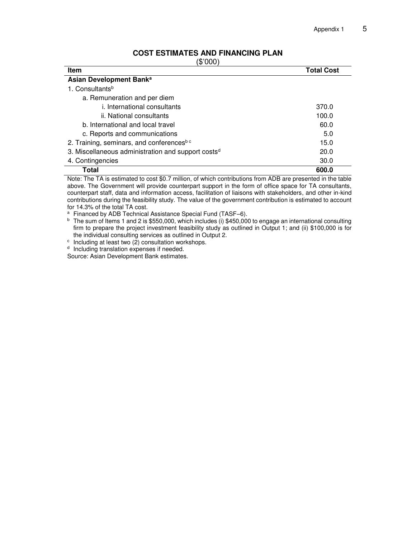| <u>UUU LUIIMAILU ANU LINANUINU LAN</u> |                   |
|----------------------------------------|-------------------|
| (\$'000)                               |                   |
| Item                                   | <b>Total Cost</b> |
| Asian Development Bank <sup>a</sup>    |                   |

#### **COST ESTIMATES AND FINANCING PLAN**

a. Remuneration and per diem i. International consultants 370.0 ii. National consultants 100.0 b. International and local travel 60.0 method is a set of  $\approx$  60.0 method is a set of  $\approx$  60.0 method is a set of  $\approx$  60.0 method is a set of  $\approx$  60.0 method is a set of  $\approx$  60.0 method is a set of  $\approx$  60.0 method is c. Reports and communications 6.0 2. Training, seminars, and conferences<sup>b c</sup> 15.0 3. Miscellaneous administration and support costs<sup>d</sup> 20.0 4. Contingencies 30.0 **Total 600.0**  Note: The TA is estimated to cost \$0.7 million, of which contributions from ADB are presented in the table above. The Government will provide counterpart support in the form of office space for TA consultants,

counterpart staff, data and information access, facilitation of liaisons with stakeholders, and other in-kind contributions during the feasibility study. The value of the government contribution is estimated to account for 14.3% of the total TA cost.

<sup>a</sup> Financed by ADB Technical Assistance Special Fund (TASF–6).

 $^{\rm b}~$  The sum of Items 1 and 2 is \$550,000, which includes (i) \$450,000 to engage an international consulting firm to prepare the project investment feasibility study as outlined in Output 1; and (ii) \$100,000 is for the individual consulting services as outlined in Output 2.

c Including at least two (2) consultation workshops.

<sup>d</sup> Including translation expenses if needed.

1. Consultants<sup>b</sup>

Source: Asian Development Bank estimates.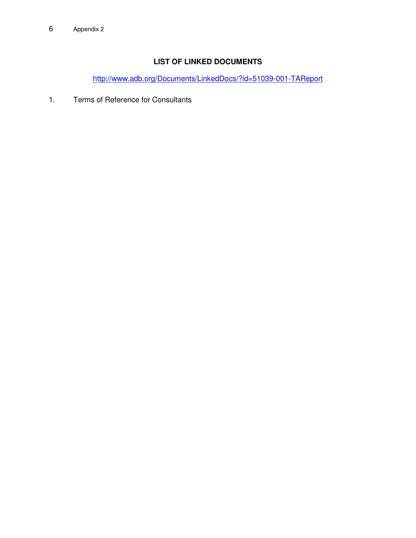# **LIST OF LINKED DOCUMENTS**

<http://www.adb.org/Documents/LinkedDocs/?id=51039-001-TAReport>

1. Terms of Reference for Consultants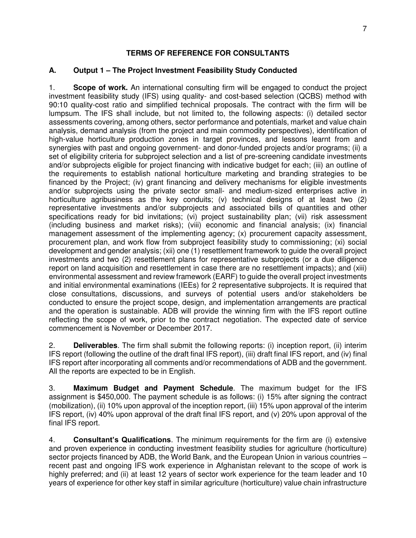#### **TERMS OF REFERENCE FOR CONSULTANTS**

#### **A. Output 1 – The Project Investment Feasibility Study Conducted**

1. **Scope of work.** An international consulting firm will be engaged to conduct the project investment feasibility study (IFS) using quality- and cost-based selection (QCBS) method with 90:10 quality-cost ratio and simplified technical proposals. The contract with the firm will be lumpsum. The IFS shall include, but not limited to, the following aspects: (i) detailed sector assessments covering, among others, sector performance and potentials, market and value chain analysis, demand analysis (from the project and main commodity perspectives), identification of high-value horticulture production zones in target provinces, and lessons learnt from and synergies with past and ongoing government- and donor-funded projects and/or programs; (ii) a set of eligibility criteria for subproject selection and a list of pre-screening candidate investments and/or subprojects eligible for project financing with indicative budget for each; (iii) an outline of the requirements to establish national horticulture marketing and branding strategies to be financed by the Project; (iv) grant financing and delivery mechanisms for eligible investments and/or subprojects using the private sector small- and medium-sized enterprises active in horticulture agribusiness as the key conduits; (v) technical designs of at least two (2) representative investments and/or subprojects and associated bills of quantities and other specifications ready for bid invitations; (vi) project sustainability plan; (vii) risk assessment (including business and market risks); (viii) economic and financial analysis; (ix) financial management assessment of the implementing agency; (x) procurement capacity assessment, procurement plan, and work flow from subproject feasibility study to commissioning; (xi) social development and gender analysis; (xii) one (1) resettlement framework to guide the overall project investments and two (2) resettlement plans for representative subprojects (or a due diligence report on land acquisition and resettlement in case there are no resettlement impacts); and (xiii) environmental assessment and review framework (EARF) to guide the overall project investments and initial environmental examinations (IEEs) for 2 representative subprojects. It is required that close consultations, discussions, and surveys of potential users and/or stakeholders be conducted to ensure the project scope, design, and implementation arrangements are practical and the operation is sustainable. ADB will provide the winning firm with the IFS report outline reflecting the scope of work, prior to the contract negotiation. The expected date of service commencement is November or December 2017.

2. **Deliverables**. The firm shall submit the following reports: (i) inception report, (ii) interim IFS report (following the outline of the draft final IFS report), (iii) draft final IFS report, and (iv) final IFS report after incorporating all comments and/or recommendations of ADB and the government. All the reports are expected to be in English.

3. **Maximum Budget and Payment Schedule**. The maximum budget for the IFS assignment is \$450,000. The payment schedule is as follows: (i) 15% after signing the contract (mobilization), (ii) 10% upon approval of the inception report, (iii) 15% upon approval of the interim IFS report, (iv) 40% upon approval of the draft final IFS report, and (v) 20% upon approval of the final IFS report.

4. **Consultant's Qualifications**. The minimum requirements for the firm are (i) extensive and proven experience in conducting investment feasibility studies for agriculture (horticulture) sector projects financed by ADB, the World Bank, and the European Union in various countries – recent past and ongoing IFS work experience in Afghanistan relevant to the scope of work is highly preferred; and (ii) at least 12 years of sector work experience for the team leader and 10 years of experience for other key staff in similar agriculture (horticulture) value chain infrastructure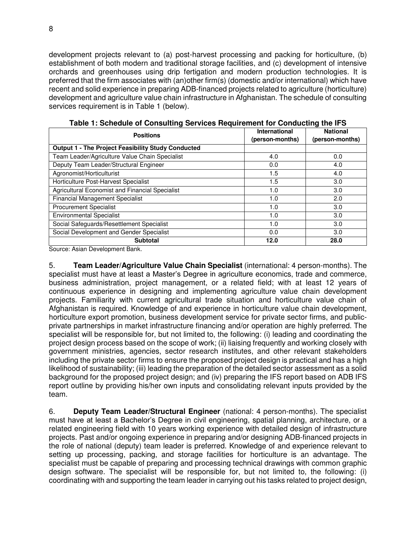development projects relevant to (a) post-harvest processing and packing for horticulture, (b) establishment of both modern and traditional storage facilities, and (c) development of intensive orchards and greenhouses using drip fertigation and modern production technologies. It is preferred that the firm associates with (an)other firm(s) (domestic and/or international) which have recent and solid experience in preparing ADB-financed projects related to agriculture (horticulture) development and agriculture value chain infrastructure in Afghanistan. The schedule of consulting services requirement is in Table 1 (below).

| <b>Positions</b>                                   | <b>International</b><br>(person-months) | <b>National</b><br>(person-months) |
|----------------------------------------------------|-----------------------------------------|------------------------------------|
| Output 1 - The Project Feasibility Study Conducted |                                         |                                    |
| Team Leader/Agriculture Value Chain Specialist     | 4.0                                     | 0.0                                |
| Deputy Team Leader/Structural Engineer             | 0.0                                     | 4.0                                |
| Agronomist/Horticulturist                          | 1.5                                     | 4.0                                |
| Horticulture Post-Harvest Specialist               | 1.5                                     | 3.0                                |
| Agricultural Economist and Financial Specialist    | 1.0                                     | 3.0                                |
| <b>Financial Management Specialist</b>             | 1.0                                     | 2.0                                |
| <b>Procurement Specialist</b>                      | 1.0                                     | 3.0                                |
| <b>Environmental Specialist</b>                    | 1.0                                     | 3.0                                |
| Social Safeguards/Resettlement Specialist          | 1.0                                     | 3.0                                |
| Social Development and Gender Specialist           | 0.0                                     | 3.0                                |
| <b>Subtotal</b>                                    | 12.0                                    | 28.0                               |

**Table 1: Schedule of Consulting Services Requirement for Conducting the IFS**

Source: Asian Development Bank.

5. **Team Leader/Agriculture Value Chain Specialist** (international: 4 person-months). The specialist must have at least a Master's Degree in agriculture economics, trade and commerce, business administration, project management, or a related field; with at least 12 years of continuous experience in designing and implementing agriculture value chain development projects. Familiarity with current agricultural trade situation and horticulture value chain of Afghanistan is required. Knowledge of and experience in horticulture value chain development, horticulture export promotion, business development service for private sector firms, and publicprivate partnerships in market infrastructure financing and/or operation are highly preferred. The specialist will be responsible for, but not limited to, the following: (i) leading and coordinating the project design process based on the scope of work; (ii) liaising frequently and working closely with government ministries, agencies, sector research institutes, and other relevant stakeholders including the private sector firms to ensure the proposed project design is practical and has a high likelihood of sustainability; (iii) leading the preparation of the detailed sector assessment as a solid background for the proposed project design; and (iv) preparing the IFS report based on ADB IFS report outline by providing his/her own inputs and consolidating relevant inputs provided by the team.

6. **Deputy Team Leader/Structural Engineer** (national: 4 person-months). The specialist must have at least a Bachelor's Degree in civil engineering, spatial planning, architecture, or a related engineering field with 10 years working experience with detailed design of infrastructure projects. Past and/or ongoing experience in preparing and/or designing ADB-financed projects in the role of national (deputy) team leader is preferred. Knowledge of and experience relevant to setting up processing, packing, and storage facilities for horticulture is an advantage. The specialist must be capable of preparing and processing technical drawings with common graphic design software. The specialist will be responsible for, but not limited to, the following: (i) coordinating with and supporting the team leader in carrying out his tasks related to project design,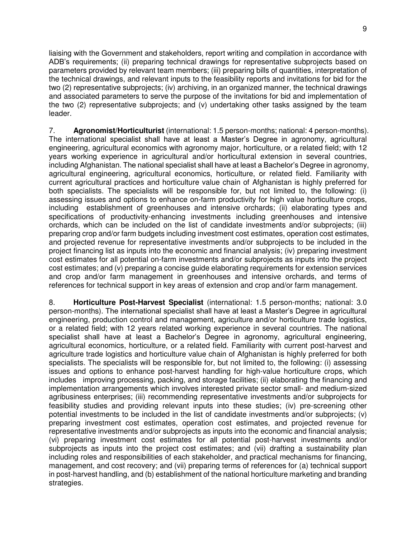liaising with the Government and stakeholders, report writing and compilation in accordance with ADB's requirements; (ii) preparing technical drawings for representative subprojects based on parameters provided by relevant team members; (iii) preparing bills of quantities, interpretation of the technical drawings, and relevant inputs to the feasibility reports and invitations for bid for the two (2) representative subprojects; (iv) archiving, in an organized manner, the technical drawings and associated parameters to serve the purpose of the invitations for bid and implementation of the two (2) representative subprojects; and (v) undertaking other tasks assigned by the team leader.

7. **Agronomist/Horticulturist** (international: 1.5 person-months; national: 4 person-months). The international specialist shall have at least a Master's Degree in agronomy, agricultural engineering, agricultural economics with agronomy major, horticulture, or a related field; with 12 years working experience in agricultural and/or horticultural extension in several countries, including Afghanistan. The national specialist shall have at least a Bachelor's Degree in agronomy, agricultural engineering, agricultural economics, horticulture, or related field. Familiarity with current agricultural practices and horticulture value chain of Afghanistan is highly preferred for both specialists. The specialists will be responsible for, but not limited to, the following: (i) assessing issues and options to enhance on-farm productivity for high value horticulture crops, including establishment of greenhouses and intensive orchards; (ii) elaborating types and specifications of productivity-enhancing investments including greenhouses and intensive orchards, which can be included on the list of candidate investments and/or subprojects; (iii) preparing crop and/or farm budgets including investment cost estimates, operation cost estimates, and projected revenue for representative investments and/or subprojects to be included in the project financing list as inputs into the economic and financial analysis; (iv) preparing investment cost estimates for all potential on-farm investments and/or subprojects as inputs into the project cost estimates; and (v) preparing a concise guide elaborating requirements for extension services and crop and/or farm management in greenhouses and intensive orchards, and terms of references for technical support in key areas of extension and crop and/or farm management.

8. **Horticulture Post-Harvest Specialist** (international: 1.5 person-months; national: 3.0 person-months). The international specialist shall have at least a Master's Degree in agricultural engineering, production control and management, agriculture and/or horticulture trade logistics, or a related field; with 12 years related working experience in several countries. The national specialist shall have at least a Bachelor's Degree in agronomy, agricultural engineering, agricultural economics, horticulture, or a related field. Familiarity with current post-harvest and agriculture trade logistics and horticulture value chain of Afghanistan is highly preferred for both specialists. The specialists will be responsible for, but not limited to, the following: (i) assessing issues and options to enhance post-harvest handling for high-value horticulture crops, which includes improving processing, packing, and storage facilities; (ii) elaborating the financing and implementation arrangements which involves interested private sector small- and medium-sized agribusiness enterprises; (iii) recommending representative investments and/or subprojects for feasibility studies and providing relevant inputs into these studies; (iv) pre-screening other potential investments to be included in the list of candidate investments and/or subprojects; (v) preparing investment cost estimates, operation cost estimates, and projected revenue for representative investments and/or subprojects as inputs into the economic and financial analysis; (vi) preparing investment cost estimates for all potential post-harvest investments and/or subprojects as inputs into the project cost estimates; and (vii) drafting a sustainability plan including roles and responsibilities of each stakeholder, and practical mechanisms for financing, management, and cost recovery; and (vii) preparing terms of references for (a) technical support in post-harvest handling, and (b) establishment of the national horticulture marketing and branding strategies.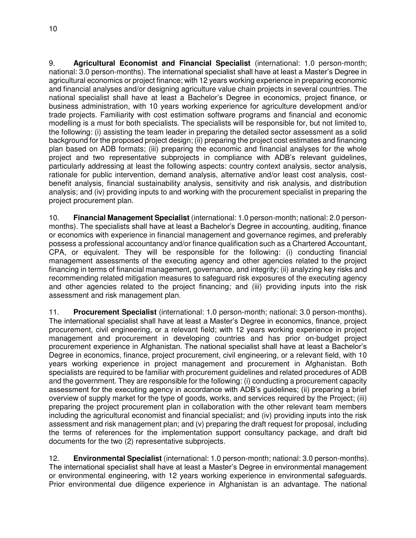9. **Agricultural Economist and Financial Specialist** (international: 1.0 person-month; national: 3.0 person-months). The international specialist shall have at least a Master's Degree in agricultural economics or project finance; with 12 years working experience in preparing economic and financial analyses and/or designing agriculture value chain projects in several countries. The national specialist shall have at least a Bachelor's Degree in economics, project finance, or business administration, with 10 years working experience for agriculture development and/or trade projects. Familiarity with cost estimation software programs and financial and economic modelling is a must for both specialists. The specialists will be responsible for, but not limited to, the following: (i) assisting the team leader in preparing the detailed sector assessment as a solid background for the proposed project design; (ii) preparing the project cost estimates and financing plan based on ADB formats; (iii) preparing the economic and financial analyses for the whole project and two representative subprojects in compliance with ADB's relevant guidelines, particularly addressing at least the following aspects: country context analysis, sector analysis, rationale for public intervention, demand analysis, alternative and/or least cost analysis, costbenefit analysis, financial sustainability analysis, sensitivity and risk analysis, and distribution analysis; and (iv) providing inputs to and working with the procurement specialist in preparing the project procurement plan.

10. **Financial Management Specialist** (international: 1.0 person-month; national: 2.0 personmonths). The specialists shall have at least a Bachelor's Degree in accounting, auditing, finance or economics with experience in financial management and governance regimes, and preferably possess a professional accountancy and/or finance qualification such as a Chartered Accountant, CPA, or equivalent. They will be responsible for the following: (i) conducting financial management assessments of the executing agency and other agencies related to the project financing in terms of financial management, governance, and integrity; (ii) analyzing key risks and recommending related mitigation measures to safeguard risk exposures of the executing agency and other agencies related to the project financing; and (iii) providing inputs into the risk assessment and risk management plan.

11. **Procurement Specialist** (international: 1.0 person-month; national: 3.0 person-months). The international specialist shall have at least a Master's Degree in economics, finance, project procurement, civil engineering, or a relevant field; with 12 years working experience in project management and procurement in developing countries and has prior on-budget project procurement experience in Afghanistan. The national specialist shall have at least a Bachelor's Degree in economics, finance, project procurement, civil engineering, or a relevant field, with 10 years working experience in project management and procurement in Afghanistan. Both specialists are required to be familiar with procurement guidelines and related procedures of ADB and the government. They are responsible for the following: (i) conducting a procurement capacity assessment for the executing agency in accordance with ADB's guidelines; (ii) preparing a brief overview of supply market for the type of goods, works, and services required by the Project; (iii) preparing the project procurement plan in collaboration with the other relevant team members including the agricultural economist and financial specialist; and (iv) providing inputs into the risk assessment and risk management plan; and (v) preparing the draft request for proposal, including the terms of references for the implementation support consultancy package, and draft bid documents for the two (2) representative subprojects.

12. **Environmental Specialist** (international: 1.0 person-month; national: 3.0 person-months). The international specialist shall have at least a Master's Degree in environmental management or environmental engineering, with 12 years working experience in environmental safeguards. Prior environmental due diligence experience in Afghanistan is an advantage. The national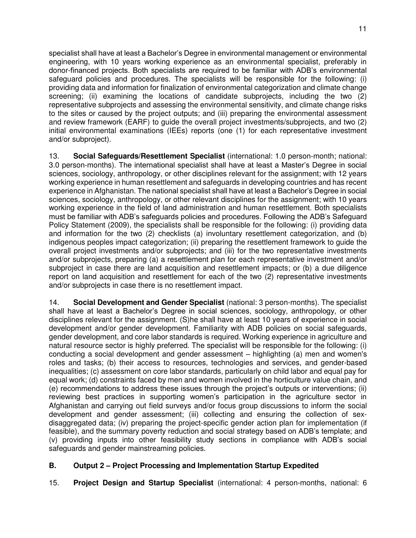specialist shall have at least a Bachelor's Degree in environmental management or environmental engineering, with 10 years working experience as an environmental specialist, preferably in donor-financed projects. Both specialists are required to be familiar with ADB's environmental safeguard policies and procedures. The specialists will be responsible for the following: (i) providing data and information for finalization of environmental categorization and climate change screening; (ii) examining the locations of candidate subprojects, including the two (2) representative subprojects and assessing the environmental sensitivity, and climate change risks to the sites or caused by the project outputs; and (iii) preparing the environmental assessment and review framework (EARF) to guide the overall project investments/subprojects, and two (2) initial environmental examinations (IEEs) reports (one (1) for each representative investment and/or subproject).

13. **Social Safeguards/Resettlement Specialist** (international: 1.0 person-month; national: 3.0 person-months). The international specialist shall have at least a Master's Degree in social sciences, sociology, anthropology, or other disciplines relevant for the assignment; with 12 years working experience in human resettlement and safeguards in developing countries and has recent experience in Afghanistan. The national specialist shall have at least a Bachelor's Degree in social sciences, sociology, anthropology, or other relevant disciplines for the assignment; with 10 years working experience in the field of land administration and human resettlement. Both specialists must be familiar with ADB's safeguards policies and procedures. Following the ADB's Safeguard Policy Statement (2009), the specialists shall be responsible for the following: (i) providing data and information for the two (2) checklists (a) involuntary resettlement categorization, and (b) indigenous peoples impact categorization; (ii) preparing the resettlement framework to guide the overall project investments and/or subprojects; and (iii) for the two representative investments and/or subprojects, preparing (a) a resettlement plan for each representative investment and/or subproject in case there are land acquisition and resettlement impacts; or (b) a due diligence report on land acquisition and resettlement for each of the two (2) representative investments and/or subprojects in case there is no resettlement impact.

14. **Social Development and Gender Specialist** (national: 3 person-months). The specialist shall have at least a Bachelor's Degree in social sciences, sociology, anthropology, or other disciplines relevant for the assignment. (S)he shall have at least 10 years of experience in social development and/or gender development. Familiarity with ADB policies on social safeguards, gender development, and core labor standards is required. Working experience in agriculture and natural resource sector is highly preferred. The specialist will be responsible for the following: (i) conducting a social development and gender assessment – highlighting (a) men and women's roles and tasks; (b) their access to resources, technologies and services, and gender-based inequalities; (c) assessment on core labor standards, particularly on child labor and equal pay for equal work; (d) constraints faced by men and women involved in the horticulture value chain, and (e) recommendations to address these issues through the project's outputs or interventions; (ii) reviewing best practices in supporting women's participation in the agriculture sector in Afghanistan and carrying out field surveys and/or focus group discussions to inform the social development and gender assessment; (iii) collecting and ensuring the collection of sexdisaggregated data; (iv) preparing the project-specific gender action plan for implementation (if feasible), and the summary poverty reduction and social strategy based on ADB's template; and (v) providing inputs into other feasibility study sections in compliance with ADB's social safeguards and gender mainstreaming policies.

## **B. Output 2 – Project Processing and Implementation Startup Expedited**

15. **Project Design and Startup Specialist** (international: 4 person-months, national: 6